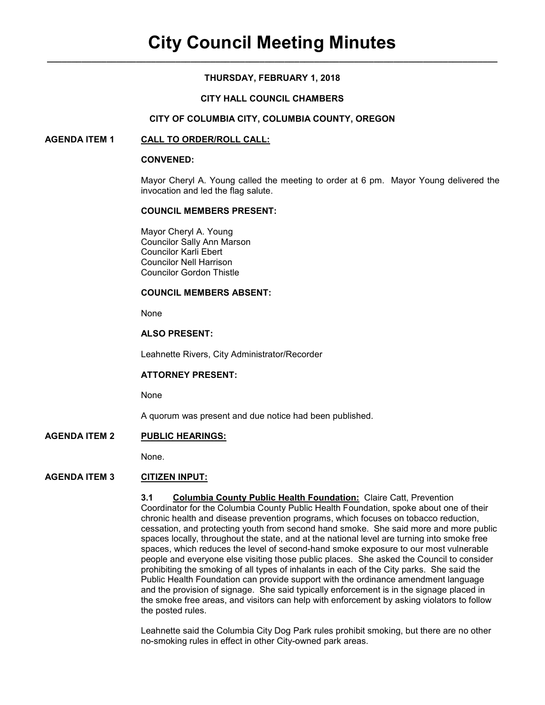# **THURSDAY, FEBRUARY 1, 2018**

## **CITY HALL COUNCIL CHAMBERS**

#### **CITY OF COLUMBIA CITY, COLUMBIA COUNTY, OREGON**

### **AGENDA ITEM 1 CALL TO ORDER/ROLL CALL:**

#### **CONVENED:**

Mayor Cheryl A. Young called the meeting to order at 6 pm. Mayor Young delivered the invocation and led the flag salute.

#### **COUNCIL MEMBERS PRESENT:**

 Mayor Cheryl A. Young Councilor Sally Ann Marson Councilor Karli Ebert Councilor Nell Harrison Councilor Gordon Thistle

#### **COUNCIL MEMBERS ABSENT:**

None

### **ALSO PRESENT:**

Leahnette Rivers, City Administrator/Recorder

#### **ATTORNEY PRESENT:**

None

A quorum was present and due notice had been published.

### **AGENDA ITEM 2 PUBLIC HEARINGS:**

None.

# **AGENDA ITEM 3 CITIZEN INPUT:**

**3.1 Columbia County Public Health Foundation:** Claire Catt, Prevention Coordinator for the Columbia County Public Health Foundation, spoke about one of their chronic health and disease prevention programs, which focuses on tobacco reduction, cessation, and protecting youth from second hand smoke. She said more and more public spaces locally, throughout the state, and at the national level are turning into smoke free spaces, which reduces the level of second-hand smoke exposure to our most vulnerable people and everyone else visiting those public places. She asked the Council to consider prohibiting the smoking of all types of inhalants in each of the City parks. She said the Public Health Foundation can provide support with the ordinance amendment language and the provision of signage. She said typically enforcement is in the signage placed in the smoke free areas, and visitors can help with enforcement by asking violators to follow the posted rules.

Leahnette said the Columbia City Dog Park rules prohibit smoking, but there are no other no-smoking rules in effect in other City-owned park areas.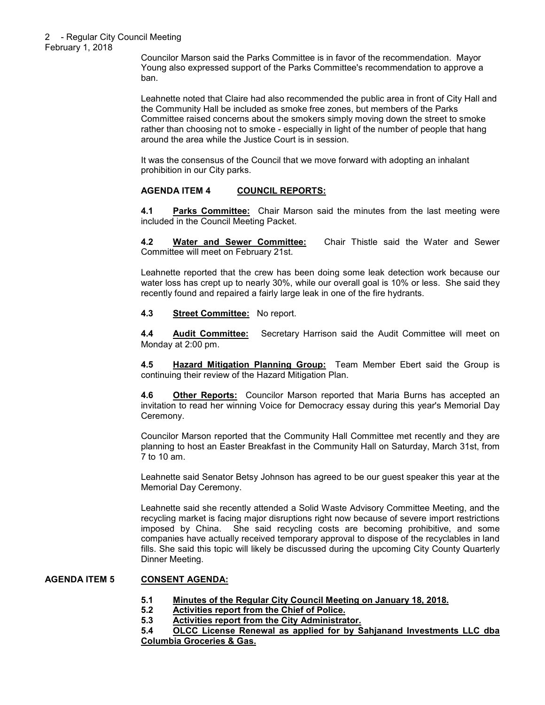Councilor Marson said the Parks Committee is in favor of the recommendation. Mayor Young also expressed support of the Parks Committee's recommendation to approve a ban.

Leahnette noted that Claire had also recommended the public area in front of City Hall and the Community Hall be included as smoke free zones, but members of the Parks Committee raised concerns about the smokers simply moving down the street to smoke rather than choosing not to smoke - especially in light of the number of people that hang around the area while the Justice Court is in session.

It was the consensus of the Council that we move forward with adopting an inhalant prohibition in our City parks.

# **AGENDA ITEM 4 COUNCIL REPORTS:**

**4.1 Parks Committee:** Chair Marson said the minutes from the last meeting were included in the Council Meeting Packet.

**4.2 Water and Sewer Committee:** Chair Thistle said the Water and Sewer Committee will meet on February 21st.

Leahnette reported that the crew has been doing some leak detection work because our water loss has crept up to nearly 30%, while our overall goal is 10% or less. She said they recently found and repaired a fairly large leak in one of the fire hydrants.

#### **4.3 Street Committee:** No report.

**4.4 Audit Committee:** Secretary Harrison said the Audit Committee will meet on Monday at 2:00 pm.

**4.5 Hazard Mitigation Planning Group:** Team Member Ebert said the Group is continuing their review of the Hazard Mitigation Plan.

**4.6 Other Reports:** Councilor Marson reported that Maria Burns has accepted an invitation to read her winning Voice for Democracy essay during this year's Memorial Day Ceremony.

Councilor Marson reported that the Community Hall Committee met recently and they are planning to host an Easter Breakfast in the Community Hall on Saturday, March 31st, from 7 to 10 am.

Leahnette said Senator Betsy Johnson has agreed to be our guest speaker this year at the Memorial Day Ceremony.

Leahnette said she recently attended a Solid Waste Advisory Committee Meeting, and the recycling market is facing major disruptions right now because of severe import restrictions imposed by China. She said recycling costs are becoming prohibitive, and some companies have actually received temporary approval to dispose of the recyclables in land fills. She said this topic will likely be discussed during the upcoming City County Quarterly Dinner Meeting.

# **AGENDA ITEM 5 CONSENT AGENDA:**

- **5.1 Minutes of the Regular City Council Meeting on January 18, 2018.**
- **5.2 Activities report from the Chief of Police.**
- **5.3 Activities report from the City Administrator.**

**5.4 OLCC License Renewal as applied for by Sahjanand Investments LLC dba Columbia Groceries & Gas.**